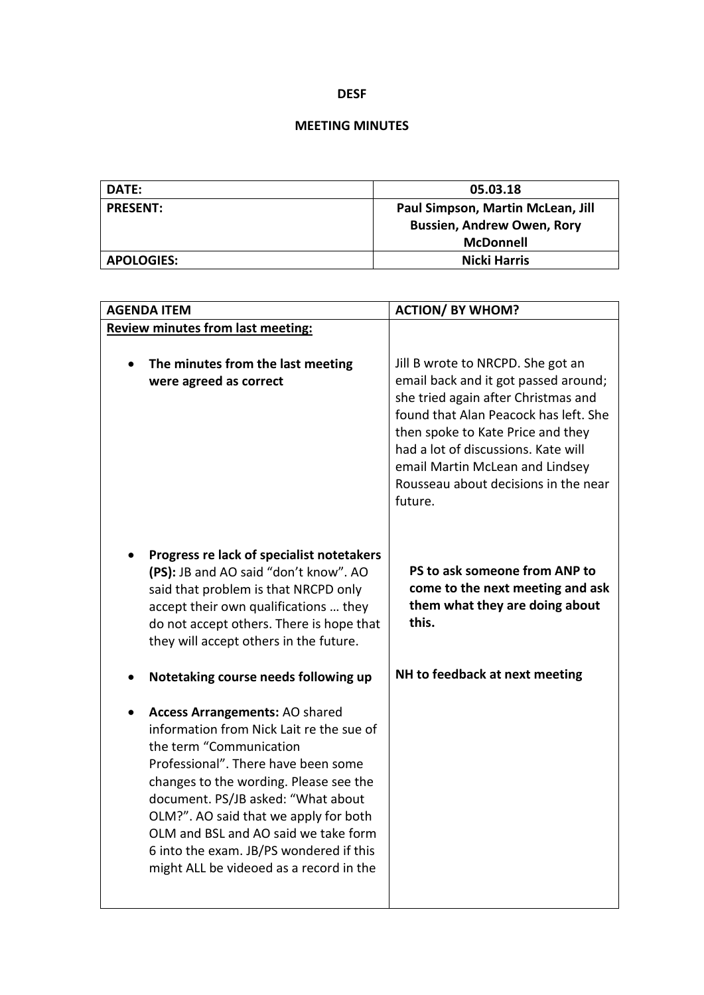## **DESF**

## **MEETING MINUTES**

| DATE:             | 05.03.18                          |
|-------------------|-----------------------------------|
| <b>PRESENT:</b>   | Paul Simpson, Martin McLean, Jill |
|                   | <b>Bussien, Andrew Owen, Rory</b> |
|                   | <b>McDonnell</b>                  |
| <b>APOLOGIES:</b> | <b>Nicki Harris</b>               |

| <b>AGENDA ITEM</b>                                                                                                                                                                                                                                                                                                                                                                                         | <b>ACTION/ BY WHOM?</b>                                                                                                                                                                                                                                                                                                     |
|------------------------------------------------------------------------------------------------------------------------------------------------------------------------------------------------------------------------------------------------------------------------------------------------------------------------------------------------------------------------------------------------------------|-----------------------------------------------------------------------------------------------------------------------------------------------------------------------------------------------------------------------------------------------------------------------------------------------------------------------------|
| <b>Review minutes from last meeting:</b>                                                                                                                                                                                                                                                                                                                                                                   |                                                                                                                                                                                                                                                                                                                             |
| The minutes from the last meeting<br>were agreed as correct                                                                                                                                                                                                                                                                                                                                                | Jill B wrote to NRCPD. She got an<br>email back and it got passed around;<br>she tried again after Christmas and<br>found that Alan Peacock has left. She<br>then spoke to Kate Price and they<br>had a lot of discussions. Kate will<br>email Martin McLean and Lindsey<br>Rousseau about decisions in the near<br>future. |
| Progress re lack of specialist notetakers<br>(PS): JB and AO said "don't know". AO<br>said that problem is that NRCPD only<br>accept their own qualifications  they<br>do not accept others. There is hope that<br>they will accept others in the future.                                                                                                                                                  | PS to ask someone from ANP to<br>come to the next meeting and ask<br>them what they are doing about<br>this.                                                                                                                                                                                                                |
| Notetaking course needs following up                                                                                                                                                                                                                                                                                                                                                                       | NH to feedback at next meeting                                                                                                                                                                                                                                                                                              |
| <b>Access Arrangements: AO shared</b><br>information from Nick Lait re the sue of<br>the term "Communication<br>Professional". There have been some<br>changes to the wording. Please see the<br>document. PS/JB asked: "What about<br>OLM?". AO said that we apply for both<br>OLM and BSL and AO said we take form<br>6 into the exam. JB/PS wondered if this<br>might ALL be videoed as a record in the |                                                                                                                                                                                                                                                                                                                             |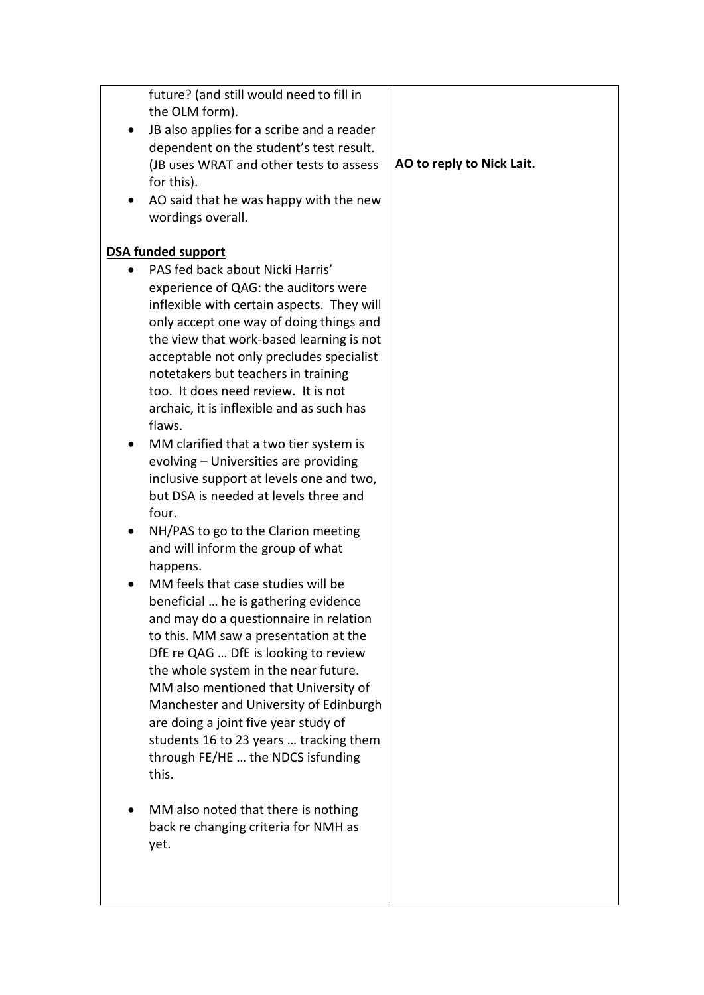|           | future? (and still would need to fill in   |                           |
|-----------|--------------------------------------------|---------------------------|
|           | the OLM form).                             |                           |
|           | JB also applies for a scribe and a reader  |                           |
|           | dependent on the student's test result.    |                           |
|           | (JB uses WRAT and other tests to assess    | AO to reply to Nick Lait. |
|           | for this).                                 |                           |
|           | AO said that he was happy with the new     |                           |
|           | wordings overall.                          |                           |
|           |                                            |                           |
|           | <b>DSA funded support</b>                  |                           |
| $\bullet$ | PAS fed back about Nicki Harris'           |                           |
|           | experience of QAG: the auditors were       |                           |
|           | inflexible with certain aspects. They will |                           |
|           | only accept one way of doing things and    |                           |
|           | the view that work-based learning is not   |                           |
|           | acceptable not only precludes specialist   |                           |
|           | notetakers but teachers in training        |                           |
|           | too. It does need review. It is not        |                           |
|           | archaic, it is inflexible and as such has  |                           |
|           | flaws.                                     |                           |
|           | MM clarified that a two tier system is     |                           |
|           | evolving - Universities are providing      |                           |
|           | inclusive support at levels one and two,   |                           |
|           | but DSA is needed at levels three and      |                           |
|           | four.                                      |                           |
|           | NH/PAS to go to the Clarion meeting        |                           |
|           | and will inform the group of what          |                           |
|           | happens.                                   |                           |
|           | MM feels that case studies will be         |                           |
|           | beneficial  he is gathering evidence       |                           |
|           | and may do a questionnaire in relation     |                           |
|           | to this. MM saw a presentation at the      |                           |
|           | DfE re QAG  DfE is looking to review       |                           |
|           | the whole system in the near future.       |                           |
|           | MM also mentioned that University of       |                           |
|           | Manchester and University of Edinburgh     |                           |
|           | are doing a joint five year study of       |                           |
|           | students 16 to 23 years  tracking them     |                           |
|           | through FE/HE  the NDCS isfunding          |                           |
|           | this.                                      |                           |
|           |                                            |                           |
|           | MM also noted that there is nothing        |                           |
|           | back re changing criteria for NMH as       |                           |
|           | yet.                                       |                           |
|           |                                            |                           |
|           |                                            |                           |
|           |                                            |                           |
|           |                                            |                           |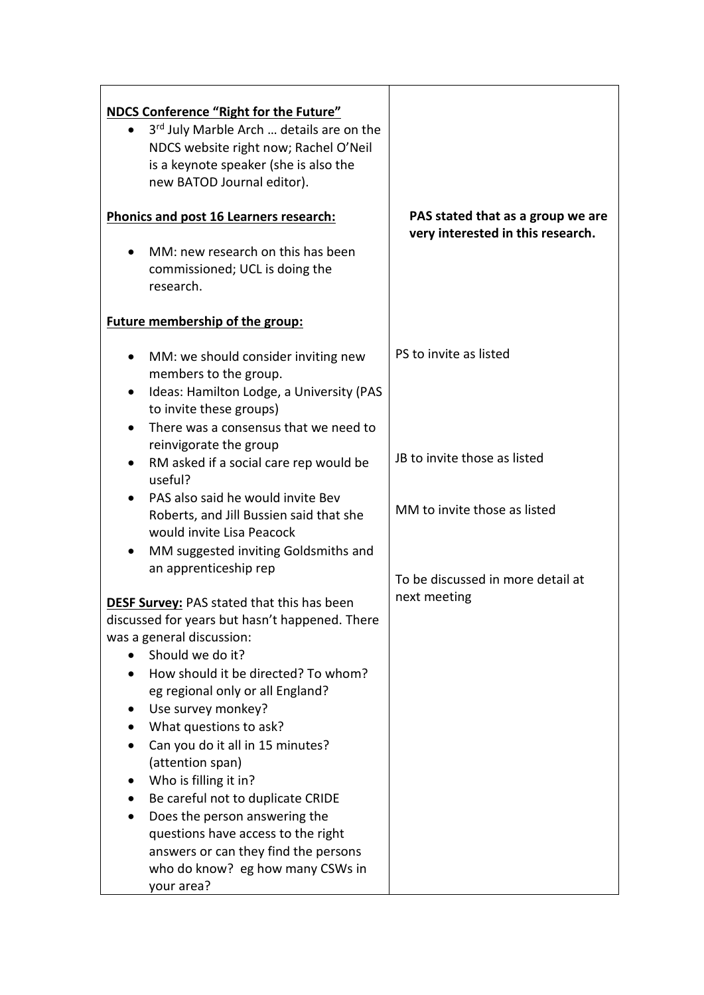| <b>NDCS Conference "Right for the Future"</b><br>3rd July Marble Arch  details are on the<br>NDCS website right now; Rachel O'Neil<br>is a keynote speaker (she is also the<br>new BATOD Journal editor).<br>Phonics and post 16 Learners research:<br>MM: new research on this has been<br>$\bullet$<br>commissioned; UCL is doing the<br>research. | PAS stated that as a group we are<br>very interested in this research. |
|------------------------------------------------------------------------------------------------------------------------------------------------------------------------------------------------------------------------------------------------------------------------------------------------------------------------------------------------------|------------------------------------------------------------------------|
| <b>Future membership of the group:</b>                                                                                                                                                                                                                                                                                                               |                                                                        |
| MM: we should consider inviting new<br>٠<br>members to the group.<br>Ideas: Hamilton Lodge, a University (PAS<br>$\bullet$<br>to invite these groups)<br>There was a consensus that we need to                                                                                                                                                       | PS to invite as listed                                                 |
| reinvigorate the group<br>RM asked if a social care rep would be<br>$\bullet$<br>useful?                                                                                                                                                                                                                                                             | JB to invite those as listed                                           |
| PAS also said he would invite Bev<br>Roberts, and Jill Bussien said that she<br>would invite Lisa Peacock<br>MM suggested inviting Goldsmiths and                                                                                                                                                                                                    | MM to invite those as listed                                           |
| an apprenticeship rep<br><b>DESF Survey:</b> PAS stated that this has been                                                                                                                                                                                                                                                                           | To be discussed in more detail at<br>next meeting                      |
| discussed for years but hasn't happened. There<br>was a general discussion:                                                                                                                                                                                                                                                                          |                                                                        |
| Should we do it?                                                                                                                                                                                                                                                                                                                                     |                                                                        |
| How should it be directed? To whom?<br>eg regional only or all England?                                                                                                                                                                                                                                                                              |                                                                        |
| Use survey monkey?<br>What questions to ask?                                                                                                                                                                                                                                                                                                         |                                                                        |
| Can you do it all in 15 minutes?<br>(attention span)                                                                                                                                                                                                                                                                                                 |                                                                        |
| Who is filling it in?                                                                                                                                                                                                                                                                                                                                |                                                                        |
| Be careful not to duplicate CRIDE<br>Does the person answering the                                                                                                                                                                                                                                                                                   |                                                                        |
| questions have access to the right<br>answers or can they find the persons<br>who do know? eg how many CSWs in                                                                                                                                                                                                                                       |                                                                        |
| your area?                                                                                                                                                                                                                                                                                                                                           |                                                                        |